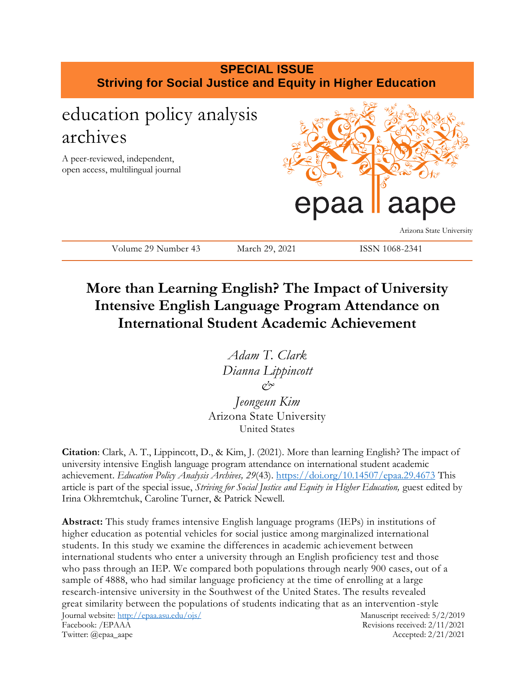

## **More than Learning English? The Impact of University Intensive English Language Program Attendance on International Student Academic Achievement**

*Adam T. Clark Dianna Lippincott &*

*Jeongeun Kim* Arizona State University United States

**Citation**: Clark, A. T., Lippincott, D., & Kim, J. (2021). More than learning English? The impact of university intensive English language program attendance on international student academic achievement. *Education Policy Analysis Archives, 29*(43).<https://doi.org/10.14507/epaa.29.4673> This article is part of the special issue, *Striving for Social Justice and Equity in Higher Education*, guest edited by Irina Okhremtchuk, Caroline Turner, & Patrick Newell.

Journal website:<http://epaa.asu.edu/ojs/> Manuscript received: 5/2/2019 **Abstract:** This study frames intensive English language programs (IEPs) in institutions of higher education as potential vehicles for social justice among marginalized international students. In this study we examine the differences in academic achievement between international students who enter a university through an English proficiency test and those who pass through an IEP. We compared both populations through nearly 900 cases, out of a sample of 4888, who had similar language proficiency at the time of enrolling at a large research-intensive university in the Southwest of the United States. The results revealed great similarity between the populations of students indicating that as an intervention-style

Facebook: /EPAAA Revisions received: 2/11/2021 Twitter: @epaa\_aape Accepted: 2/21/2021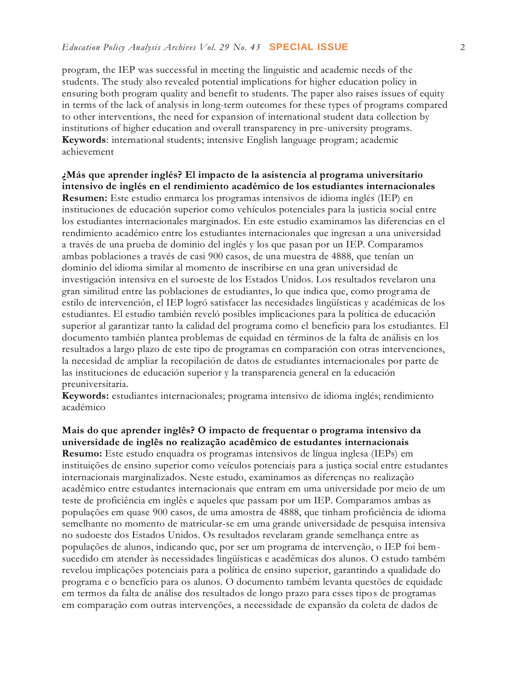program, the IEP was successful in meeting the linguistic and academic needs of the students. The study also revealed potential implications for higher education policy in ensuring both program quality and benefit to students. The paper also raises issues of equity in terms of the lack of analysis in long-term outcomes for these types of programs compared to other interventions, the need for expansion of international student data collection by institutions of higher education and overall transparency in pre-university programs. **Keywords**: international students; intensive English language program; academic achievement

**¿Más que aprender inglés? El impacto de la asistencia al programa universitario intensivo de inglés en el rendimiento académico de los estudiantes internacionales Resumen:** Este estudio enmarca los programas intensivos de idioma inglés (IEP) en instituciones de educación superior como vehículos potenciales para la justicia social entre los estudiantes internacionales marginados. En este estudio examinamos las diferencias en el rendimiento académico entre los estudiantes internacionales que ingresan a una universidad a través de una prueba de dominio del inglés y los que pasan por un IEP. Comparamos ambas poblaciones a través de casi 900 casos, de una muestra de 4888, que tenían un dominio del idioma similar al momento de inscribirse en una gran universidad de investigación intensiva en el suroeste de los Estados Unidos. Los resultados revelaron una gran similitud entre las poblaciones de estudiantes, lo que indica que, como progr ama de estilo de intervención, el IEP logró satisfacer las necesidades lingüísticas y académicas de los estudiantes. El estudio también reveló posibles implicaciones para la política de educación superior al garantizar tanto la calidad del programa como el beneficio para los estudiantes. El documento también plantea problemas de equidad en términos de la falta de análisis en los resultados a largo plazo de este tipo de programas en comparación con otras intervenciones, la necesidad de ampliar la recopilación de datos de estudiantes internacionales por parte de las instituciones de educación superior y la transparencia general en la educación preuniversitaria.

**Keywords:** estudiantes internacionales; programa intensivo de idioma inglés; rendimiento académico

**Mais do que aprender inglês? O impacto de frequentar o programa intensivo da universidade de inglês no realização acadêmico de estudantes internacionais Resumo:** Este estudo enquadra os programas intensivos de língua inglesa (IEPs) em instituições de ensino superior como veículos potenciais para a justiça social entre estudantes internacionais marginalizados. Neste estudo, examinamos as diferenças no realização acadêmico entre estudantes internacionais que entram em uma universidade por meio de um teste de proficiência em inglês e aqueles que passam por um IEP. Comparamos ambas as populações em quase 900 casos, de uma amostra de 4888, que tinham proficiência de idioma semelhante no momento de matricular-se em uma grande universidade de pesquisa intensiva no sudoeste dos Estados Unidos. Os resultados revelaram grande semelhança entre as populações de alunos, indicando que, por ser um programa de intervenção, o IEP foi bemsucedido em atender às necessidades lingüísticas e acadêmicas dos alunos. O estudo também revelou implicações potenciais para a política de ensino superior, garantindo a qualidade do programa e o benefício para os alunos. O documento também levanta questões de equidade em termos da falta de análise dos resultados de longo prazo para esses tipos de programas em comparação com outras intervenções, a necessidade de expansão da coleta de dados de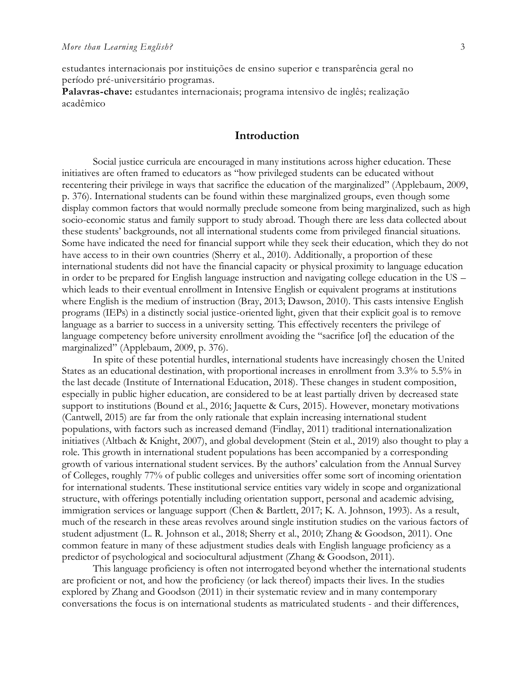estudantes internacionais por instituições de ensino superior e transparência geral no período pré-universitário programas.

**Palavras-chave:** estudantes internacionais; programa intensivo de inglês; realização acadêmico

## **Introduction**

Social justice curricula are encouraged in many institutions across higher education. These initiatives are often framed to educators as "how privileged students can be educated without recentering their privilege in ways that sacrifice the education of the marginalized" (Applebaum, 2009, p. 376). International students can be found within these marginalized groups, even though some display common factors that would normally preclude someone from being marginalized, such as high socio-economic status and family support to study abroad. Though there are less data collected about these students' backgrounds, not all international students come from privileged financial situations. Some have indicated the need for financial support while they seek their education, which they do not have access to in their own countries (Sherry et al., 2010). Additionally, a proportion of these international students did not have the financial capacity or physical proximity to language education in order to be prepared for English language instruction and navigating college education in the US – which leads to their eventual enrollment in Intensive English or equivalent programs at institutions where English is the medium of instruction (Bray, 2013; Dawson, 2010). This casts intensive English programs (IEPs) in a distinctly social justice-oriented light, given that their explicit goal is to remove language as a barrier to success in a university setting. This effectively recenters the privilege of language competency before university enrollment avoiding the "sacrifice [of] the education of the marginalized" (Applebaum, 2009, p. 376).

In spite of these potential hurdles, international students have increasingly chosen the United States as an educational destination, with proportional increases in enrollment from 3.3% to 5.5% in the last decade (Institute of International Education, 2018). These changes in student composition, especially in public higher education, are considered to be at least partially driven by decreased state support to institutions (Bound et al., 2016; Jaquette & Curs, 2015). However, monetary motivations (Cantwell, 2015) are far from the only rationale that explain increasing international student populations, with factors such as increased demand (Findlay, 2011) traditional internationalization initiatives (Altbach & Knight, 2007), and global development (Stein et al., 2019) also thought to play a role. This growth in international student populations has been accompanied by a corresponding growth of various international student services. By the authors' calculation from the Annual Survey of Colleges, roughly 77% of public colleges and universities offer some sort of incoming orientation for international students. These institutional service entities vary widely in scope and organizational structure, with offerings potentially including orientation support, personal and academic advising, immigration services or language support (Chen & Bartlett, 2017; K. A. Johnson, 1993). As a result, much of the research in these areas revolves around single institution studies on the various factors of student adjustment (L. R. Johnson et al., 2018; Sherry et al., 2010; Zhang & Goodson, 2011). One common feature in many of these adjustment studies deals with English language proficiency as a predictor of psychological and sociocultural adjustment (Zhang & Goodson, 2011).

This language proficiency is often not interrogated beyond whether the international students are proficient or not, and how the proficiency (or lack thereof) impacts their lives. In the studies explored by Zhang and Goodson (2011) in their systematic review and in many contemporary conversations the focus is on international students as matriculated students - and their differences,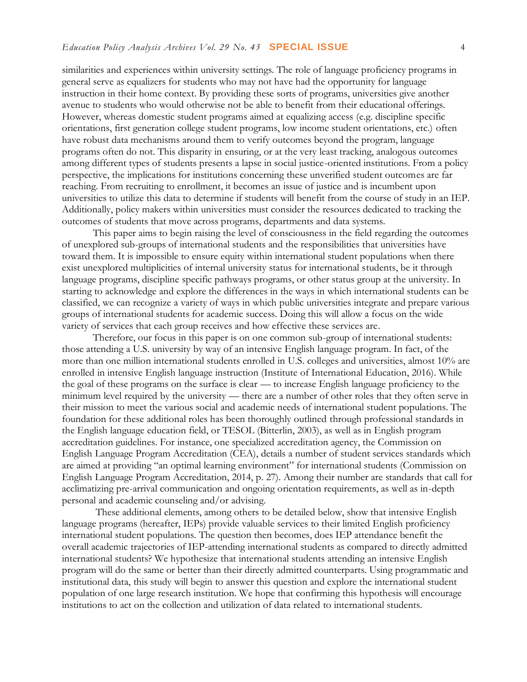similarities and experiences within university settings. The role of language proficiency programs in general serve as equalizers for students who may not have had the opportunity for language instruction in their home context. By providing these sorts of programs, universities give another avenue to students who would otherwise not be able to benefit from their educational offerings. However, whereas domestic student programs aimed at equalizing access (e.g. discipline specific orientations, first generation college student programs, low income student orientations, etc.) often have robust data mechanisms around them to verify outcomes beyond the program, language programs often do not. This disparity in ensuring, or at the very least tracking, analogous outcomes among different types of students presents a lapse in social justice-oriented institutions. From a policy perspective, the implications for institutions concerning these unverified student outcomes are far reaching. From recruiting to enrollment, it becomes an issue of justice and is incumbent upon universities to utilize this data to determine if students will benefit from the course of study in an IEP. Additionally, policy makers within universities must consider the resources dedicated to tracking the outcomes of students that move across programs, departments and data systems.

This paper aims to begin raising the level of consciousness in the field regarding the outcomes of unexplored sub-groups of international students and the responsibilities that universities have toward them. It is impossible to ensure equity within international student populations when there exist unexplored multiplicities of internal university status for international students, be it through language programs, discipline specific pathways programs, or other status group at the university. In starting to acknowledge and explore the differences in the ways in which international students can be classified, we can recognize a variety of ways in which public universities integrate and prepare various groups of international students for academic success. Doing this will allow a focus on the wide variety of services that each group receives and how effective these services are.

Therefore, our focus in this paper is on one common sub-group of international students: those attending a U.S. university by way of an intensive English language program. In fact, of the more than one million international students enrolled in U.S. colleges and universities, almost 10% are enrolled in intensive English language instruction (Institute of International Education, 2016). While the goal of these programs on the surface is clear — to increase English language proficiency to the minimum level required by the university — there are a number of other roles that they often serve in their mission to meet the various social and academic needs of international student populations. The foundation for these additional roles has been thoroughly outlined through professional standards in the English language education field, or TESOL (Bitterlin, 2003), as well as in English program accreditation guidelines. For instance, one specialized accreditation agency, the Commission on English Language Program Accreditation (CEA), details a number of student services standards which are aimed at providing "an optimal learning environment" for international students (Commission on English Language Program Accreditation, 2014, p. 27). Among their number are standards that call for acclimatizing pre-arrival communication and ongoing orientation requirements, as well as in-depth personal and academic counseling and/or advising.

These additional elements, among others to be detailed below, show that intensive English language programs (hereafter, IEPs) provide valuable services to their limited English proficiency international student populations. The question then becomes, does IEP attendance benefit the overall academic trajectories of IEP-attending international students as compared to directly admitted international students? We hypothesize that international students attending an intensive English program will do the same or better than their directly admitted counterparts. Using programmatic and institutional data, this study will begin to answer this question and explore the international student population of one large research institution. We hope that confirming this hypothesis will encourage institutions to act on the collection and utilization of data related to international students.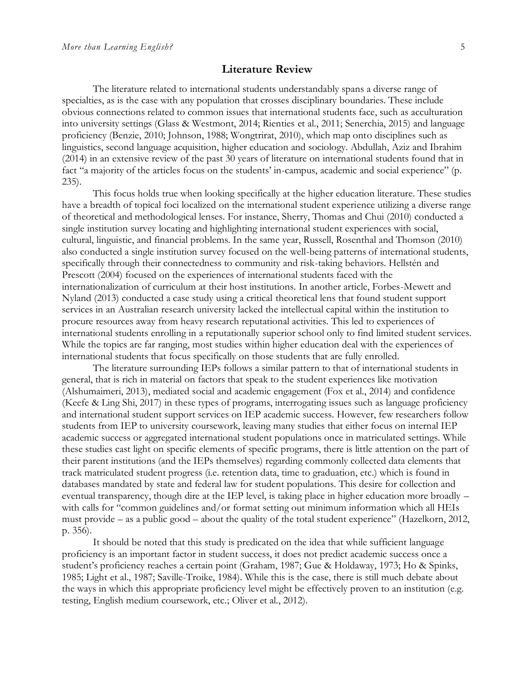#### **Literature Review**

The literature related to international students understandably spans a diverse range of specialties, as is the case with any population that crosses disciplinary boundaries. These include obvious connections related to common issues that international students face, such as acculturation into university settings (Glass & Westmont, 2014; Rienties et al., 2011; Senerchia, 2015) and language proficiency (Benzie, 2010; Johnson, 1988; Wongtrirat, 2010), which map onto disciplines such as linguistics, second language acquisition, higher education and sociology. Abdullah, Aziz and Ibrahim (2014) in an extensive review of the past 30 years of literature on international students found that in fact "a majority of the articles focus on the students' in-campus, academic and social experience" (p. 235).

This focus holds true when looking specifically at the higher education literature. These studies have a breadth of topical foci localized on the international student experience utilizing a diverse range of theoretical and methodological lenses. For instance, Sherry, Thomas and Chui (2010) conducted a single institution survey locating and highlighting international student experiences with social, cultural, linguistic, and financial problems. In the same year, Russell, Rosenthal and Thomson (2010) also conducted a single institution survey focused on the well-being patterns of international students, specifically through their connectedness to community and risk-taking behaviors. Hellstén and Prescott (2004) focused on the experiences of international students faced with the internationalization of curriculum at their host institutions. In another article, Forbes-Mewett and Nyland (2013) conducted a case study using a critical theoretical lens that found student support services in an Australian research university lacked the intellectual capital within the institution to procure resources away from heavy research reputational activities. This led to experiences of international students enrolling in a reputationally superior school only to find limited student services. While the topics are far ranging, most studies within higher education deal with the experiences of international students that focus specifically on those students that are fully enrolled.

The literature surrounding IEPs follows a similar pattern to that of international students in general, that is rich in material on factors that speak to the student experiences like motivation (Alshumaimeri, 2013), mediated social and academic engagement (Fox et al., 2014) and confidence (Keefe & Ling Shi, 2017) in these types of programs, interrogating issues such as language proficiency and international student support services on IEP academic success. However, few researchers follow students from IEP to university coursework, leaving many studies that either focus on internal IEP academic success or aggregated international student populations once in matriculated settings. While these studies cast light on specific elements of specific programs, there is little attention on the part of their parent institutions (and the IEPs themselves) regarding commonly collected data elements that track matriculated student progress (i.e. retention data, time to graduation, etc.) which is found in databases mandated by state and federal law for student populations. This desire for collection and eventual transparency, though dire at the IEP level, is taking place in higher education more broadly – with calls for "common guidelines and/or format setting out minimum information which all HEIs must provide – as a public good – about the quality of the total student experience" (Hazelkorn, 2012, p. 356).

It should be noted that this study is predicated on the idea that while sufficient language proficiency is an important factor in student success, it does not predict academic success once a student's proficiency reaches a certain point (Graham, 1987; Gue & Holdaway, 1973; Ho & Spinks, 1985; Light et al., 1987; Saville-Troike, 1984). While this is the case, there is still much debate about the ways in which this appropriate proficiency level might be effectively proven to an institution (e.g. testing, English medium coursework, etc.; Oliver et al., 2012).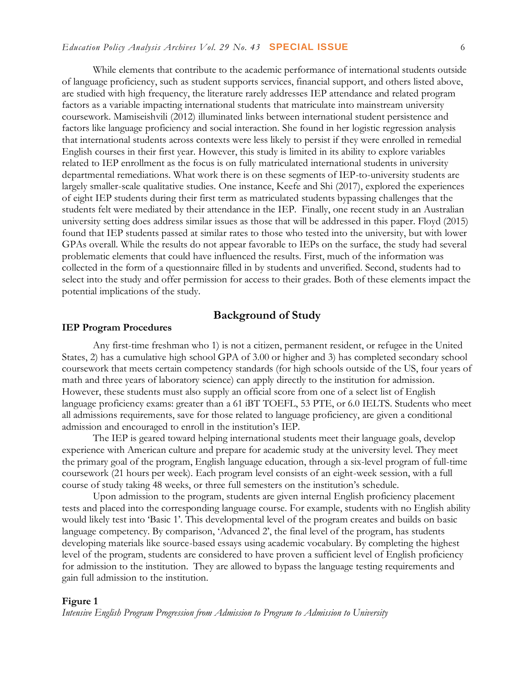#### *Education Policy Analysis Archives Vol. 29 No. 43* **SPECIAL ISSUE** 6

While elements that contribute to the academic performance of international students outside of language proficiency, such as student supports services, financial support, and others listed above, are studied with high frequency, the literature rarely addresses IEP attendance and related program factors as a variable impacting international students that matriculate into mainstream university coursework. Mamiseishvili (2012) illuminated links between international student persistence and factors like language proficiency and social interaction. She found in her logistic regression analysis that international students across contexts were less likely to persist if they were enrolled in remedial English courses in their first year. However, this study is limited in its ability to explore variables related to IEP enrollment as the focus is on fully matriculated international students in university departmental remediations. What work there is on these segments of IEP-to-university students are largely smaller-scale qualitative studies. One instance, Keefe and Shi (2017), explored the experiences of eight IEP students during their first term as matriculated students bypassing challenges that the students felt were mediated by their attendance in the IEP. Finally, one recent study in an Australian university setting does address similar issues as those that will be addressed in this paper. Floyd (2015) found that IEP students passed at similar rates to those who tested into the university, but with lower GPAs overall. While the results do not appear favorable to IEPs on the surface, the study had several problematic elements that could have influenced the results. First, much of the information was collected in the form of a questionnaire filled in by students and unverified. Second, students had to select into the study and offer permission for access to their grades. Both of these elements impact the potential implications of the study.

## **Background of Study**

#### **IEP Program Procedures**

Any first-time freshman who 1) is not a citizen, permanent resident, or refugee in the United States, 2) has a cumulative high school GPA of 3.00 or higher and 3) has completed secondary school coursework that meets certain competency standards (for high schools outside of the US, four years of math and three years of laboratory science) can apply directly to the institution for admission. However, these students must also supply an official score from one of a select list of English language proficiency exams: greater than a 61 iBT TOEFL, 53 PTE, or 6.0 IELTS. Students who meet all admissions requirements, save for those related to language proficiency, are given a conditional admission and encouraged to enroll in the institution's IEP.

The IEP is geared toward helping international students meet their language goals, develop experience with American culture and prepare for academic study at the university level. They meet the primary goal of the program, English language education, through a six-level program of full-time coursework (21 hours per week). Each program level consists of an eight-week session, with a full course of study taking 48 weeks, or three full semesters on the institution's schedule.

Upon admission to the program, students are given internal English proficiency placement tests and placed into the corresponding language course. For example, students with no English ability would likely test into 'Basic 1'. This developmental level of the program creates and builds on basic language competency. By comparison, 'Advanced 2', the final level of the program, has students developing materials like source-based essays using academic vocabulary. By completing the highest level of the program, students are considered to have proven a sufficient level of English proficiency for admission to the institution. They are allowed to bypass the language testing requirements and gain full admission to the institution.

#### **Figure 1**

*Intensive English Program Progression from Admission to Program to Admission to University*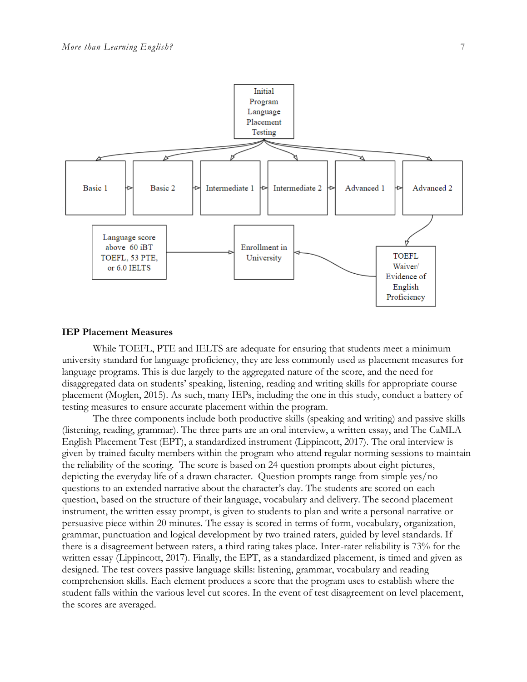

#### **IEP Placement Measures**

While TOEFL, PTE and IELTS are adequate for ensuring that students meet a minimum university standard for language proficiency, they are less commonly used as placement measures for language programs. This is due largely to the aggregated nature of the score, and the need for disaggregated data on students' speaking, listening, reading and writing skills for appropriate course placement (Moglen, 2015). As such, many IEPs, including the one in this study, conduct a battery of testing measures to ensure accurate placement within the program.

The three components include both productive skills (speaking and writing) and passive skills (listening, reading, grammar). The three parts are an oral interview, a written essay, and The CaMLA English Placement Test (EPT), a standardized instrument (Lippincott, 2017). The oral interview is given by trained faculty members within the program who attend regular norming sessions to maintain the reliability of the scoring. The score is based on 24 question prompts about eight pictures, depicting the everyday life of a drawn character. Question prompts range from simple yes/no questions to an extended narrative about the character's day. The students are scored on each question, based on the structure of their language, vocabulary and delivery. The second placement instrument, the written essay prompt, is given to students to plan and write a personal narrative or persuasive piece within 20 minutes. The essay is scored in terms of form, vocabulary, organization, grammar, punctuation and logical development by two trained raters, guided by level standards. If there is a disagreement between raters, a third rating takes place. Inter-rater reliability is 73% for the written essay (Lippincott, 2017). Finally, the EPT, as a standardized placement, is timed and given as designed. The test covers passive language skills: listening, grammar, vocabulary and reading comprehension skills. Each element produces a score that the program uses to establish where the student falls within the various level cut scores. In the event of test disagreement on level placement, the scores are averaged.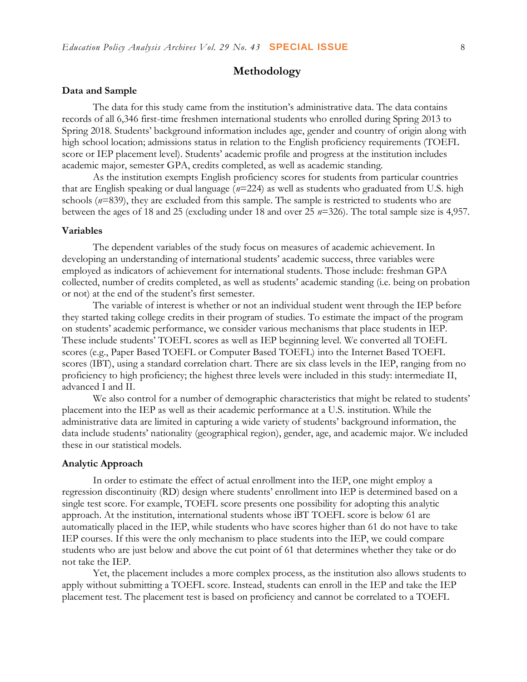## **Methodology**

#### **Data and Sample**

The data for this study came from the institution's administrative data. The data contains records of all 6,346 first-time freshmen international students who enrolled during Spring 2013 to Spring 2018. Students' background information includes age, gender and country of origin along with high school location; admissions status in relation to the English proficiency requirements (TOEFL score or IEP placement level). Students' academic profile and progress at the institution includes academic major, semester GPA, credits completed, as well as academic standing.

As the institution exempts English proficiency scores for students from particular countries that are English speaking or dual language (*n*=224) as well as students who graduated from U.S. high schools ( $n=839$ ), they are excluded from this sample. The sample is restricted to students who are between the ages of 18 and 25 (excluding under 18 and over 25 *n*=326). The total sample size is 4,957.

#### **Variables**

The dependent variables of the study focus on measures of academic achievement. In developing an understanding of international students' academic success, three variables were employed as indicators of achievement for international students. Those include: freshman GPA collected, number of credits completed, as well as students' academic standing (i.e. being on probation or not) at the end of the student's first semester.

The variable of interest is whether or not an individual student went through the IEP before they started taking college credits in their program of studies. To estimate the impact of the program on students' academic performance, we consider various mechanisms that place students in IEP. These include students' TOEFL scores as well as IEP beginning level. We converted all TOEFL scores (e.g., Paper Based TOEFL or Computer Based TOEFL) into the Internet Based TOEFL scores (IBT), using a standard correlation chart. There are six class levels in the IEP, ranging from no proficiency to high proficiency; the highest three levels were included in this study: intermediate II, advanced I and II.

We also control for a number of demographic characteristics that might be related to students' placement into the IEP as well as their academic performance at a U.S. institution. While the administrative data are limited in capturing a wide variety of students' background information, the data include students' nationality (geographical region), gender, age, and academic major. We included these in our statistical models.

#### **Analytic Approach**

In order to estimate the effect of actual enrollment into the IEP, one might employ a regression discontinuity (RD) design where students' enrollment into IEP is determined based on a single test score. For example, TOEFL score presents one possibility for adopting this analytic approach. At the institution, international students whose iBT TOEFL score is below 61 are automatically placed in the IEP, while students who have scores higher than 61 do not have to take IEP courses. If this were the only mechanism to place students into the IEP, we could compare students who are just below and above the cut point of 61 that determines whether they take or do not take the IEP.

Yet, the placement includes a more complex process, as the institution also allows students to apply without submitting a TOEFL score. Instead, students can enroll in the IEP and take the IEP placement test. The placement test is based on proficiency and cannot be correlated to a TOEFL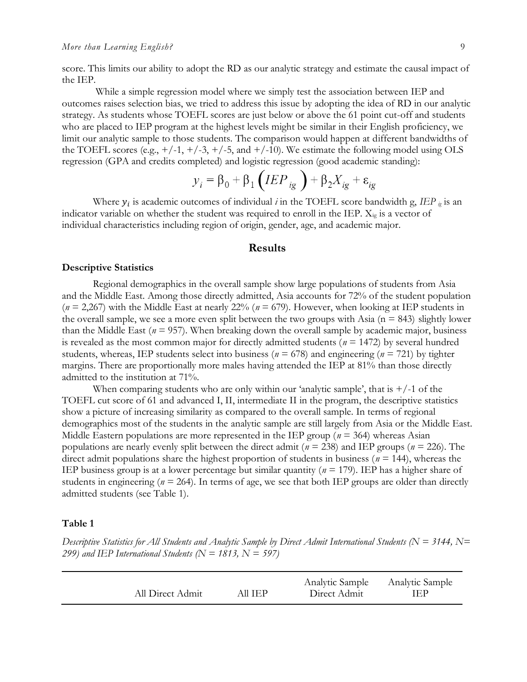score. This limits our ability to adopt the RD as our analytic strategy and estimate the causal impact of the IEP.

While a simple regression model where we simply test the association between IEP and outcomes raises selection bias, we tried to address this issue by adopting the idea of RD in our analytic strategy. As students whose TOEFL scores are just below or above the 61 point cut-off and students who are placed to IEP program at the highest levels might be similar in their English proficiency, we limit our analytic sample to those students. The comparison would happen at different bandwidths of the TOEFL scores (e.g.,  $+/-1$ ,  $+/-3$ ,  $+/-5$ , and  $+/-10$ ). We estimate the following model using OLS regression (GPA and credits completed) and logistic regression (good academic standing):

$$
y_i = \beta_0 + \beta_1 \left( IEP_{ig} \right) + \beta_2 X_{ig} + \varepsilon_{ig}
$$

Where  $y_i$  is academic outcomes of individual *i* in the TOEFL score bandwidth g, *IEP*  $_{i_g}$  is an indicator variable on whether the student was required to enroll in the IEP.  $X_{ig}$  is a vector of individual characteristics including region of origin, gender, age, and academic major.

#### **Results**

#### **Descriptive Statistics**

Regional demographics in the overall sample show large populations of students from Asia and the Middle East. Among those directly admitted, Asia accounts for 72% of the student population  $(n = 2,267)$  with the Middle East at nearly 22%  $(n = 679)$ . However, when looking at IEP students in the overall sample, we see a more even split between the two groups with Asia ( $n = 843$ ) slightly lower than the Middle East (*n* = 957). When breaking down the overall sample by academic major, business is revealed as the most common major for directly admitted students (*n* = 1472) by several hundred students, whereas, IEP students select into business ( $n = 678$ ) and engineering ( $n = 721$ ) by tighter margins. There are proportionally more males having attended the IEP at 81% than those directly admitted to the institution at 71%.

When comparing students who are only within our 'analytic sample', that is  $+/-1$  of the TOEFL cut score of 61 and advanced I, II, intermediate II in the program, the descriptive statistics show a picture of increasing similarity as compared to the overall sample. In terms of regional demographics most of the students in the analytic sample are still largely from Asia or the Middle East. Middle Eastern populations are more represented in the IEP group (*n* = 364) whereas Asian populations are nearly evenly split between the direct admit (*n* = 238) and IEP groups (*n* = 226). The direct admit populations share the highest proportion of students in business (*n* = 144), whereas the IEP business group is at a lower percentage but similar quantity ( $n = 179$ ). IEP has a higher share of students in engineering ( $n = 264$ ). In terms of age, we see that both IEP groups are older than directly admitted students (see Table 1).

#### **Table 1**

*Descriptive Statistics for All Students and Analytic Sample by Direct Admit International Students (N = 3144, N= 299) and IEP International Students (N = 1813, N = 597)*

| All Direct Admit | All IEP- | Analytic Sample<br>Direct Admit | Analytic Sample<br>IEP |
|------------------|----------|---------------------------------|------------------------|
|------------------|----------|---------------------------------|------------------------|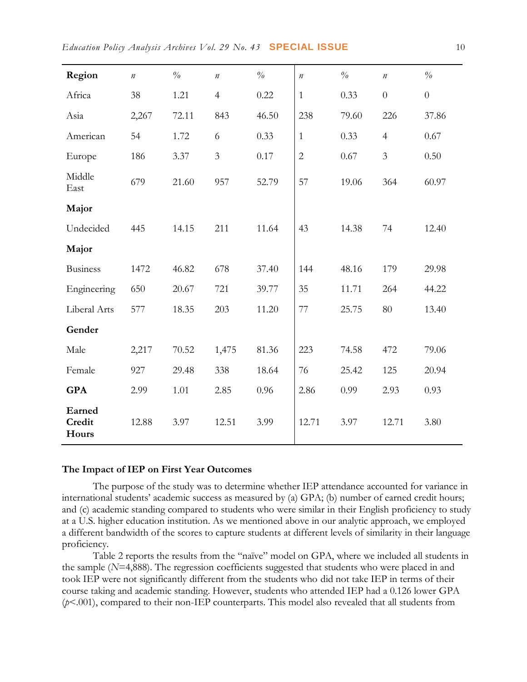| Region                    | $\boldsymbol{n}$ | $\%$  | $\it n$        | $\frac{o}{o}$ | $\it n$        | $\%$  | $\it n$        | $\%$           |
|---------------------------|------------------|-------|----------------|---------------|----------------|-------|----------------|----------------|
| Africa                    | 38               | 1.21  | $\overline{4}$ | 0.22          | $\mathbf{1}$   | 0.33  | $\overline{0}$ | $\overline{0}$ |
| Asia                      | 2,267            | 72.11 | 843            | 46.50         | 238            | 79.60 | 226            | 37.86          |
| American                  | 54               | 1.72  | 6              | 0.33          | $\mathbf{1}$   | 0.33  | $\overline{4}$ | 0.67           |
| Europe                    | 186              | 3.37  | $\mathfrak{Z}$ | 0.17          | $\overline{2}$ | 0.67  | 3              | 0.50           |
| Middle<br>East            | 679              | 21.60 | 957            | 52.79         | 57             | 19.06 | 364            | 60.97          |
| Major                     |                  |       |                |               |                |       |                |                |
| Undecided                 | 445              | 14.15 | 211            | 11.64         | 43             | 14.38 | 74             | 12.40          |
| Major                     |                  |       |                |               |                |       |                |                |
| <b>Business</b>           | 1472             | 46.82 | 678            | 37.40         | 144            | 48.16 | 179            | 29.98          |
| Engineering               | 650              | 20.67 | 721            | 39.77         | 35             | 11.71 | 264            | 44.22          |
| Liberal Arts              | 577              | 18.35 | 203            | 11.20         | 77             | 25.75 | 80             | 13.40          |
| Gender                    |                  |       |                |               |                |       |                |                |
| Male                      | 2,217            | 70.52 | 1,475          | 81.36         | 223            | 74.58 | 472            | 79.06          |
| Female                    | 927              | 29.48 | 338            | 18.64         | 76             | 25.42 | 125            | 20.94          |
| <b>GPA</b>                | 2.99             | 1.01  | 2.85           | 0.96          | 2.86           | 0.99  | 2.93           | 0.93           |
| Earned<br>Credit<br>Hours | 12.88            | 3.97  | 12.51          | 3.99          | 12.71          | 3.97  | 12.71          | 3.80           |

#### **The Impact of IEP on First Year Outcomes**

The purpose of the study was to determine whether IEP attendance accounted for variance in international students' academic success as measured by (a) GPA; (b) number of earned credit hours; and (c) academic standing compared to students who were similar in their English proficiency to study at a U.S. higher education institution. As we mentioned above in our analytic approach, we employed a different bandwidth of the scores to capture students at different levels of similarity in their language proficiency.

Table 2 reports the results from the "naïve" model on GPA, where we included all students in the sample (*N*=4,888). The regression coefficients suggested that students who were placed in and took IEP were not significantly different from the students who did not take IEP in terms of their course taking and academic standing. However, students who attended IEP had a 0.126 lower GPA (*p*<.001), compared to their non-IEP counterparts. This model also revealed that all students from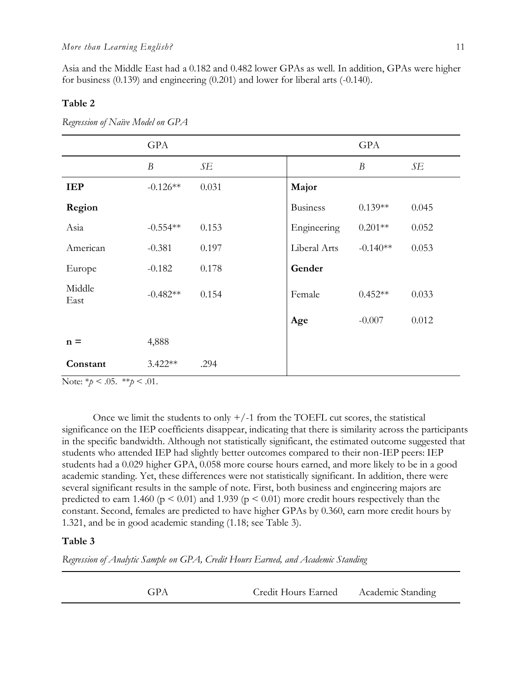Asia and the Middle East had a 0.182 and 0.482 lower GPAs as well. In addition, GPAs were higher for business (0.139) and engineering (0.201) and lower for liberal arts (-0.140).

#### **Table 2**

|                | <b>GPA</b>       |       |                 | GPA              |       |
|----------------|------------------|-------|-----------------|------------------|-------|
|                | $\boldsymbol{B}$ | SE    |                 | $\boldsymbol{B}$ | SE    |
| <b>IEP</b>     | $-0.126**$       | 0.031 | Major           |                  |       |
| Region         |                  |       | <b>Business</b> | $0.139**$        | 0.045 |
| Asia           | $-0.554**$       | 0.153 | Engineering     | $0.201**$        | 0.052 |
| American       | $-0.381$         | 0.197 | Liberal Arts    | $-0.140**$       | 0.053 |
| Europe         | $-0.182$         | 0.178 | Gender          |                  |       |
| Middle<br>East | $-0.482**$       | 0.154 | Female          | $0.452**$        | 0.033 |
|                |                  |       | Age             | $-0.007$         | 0.012 |
| $n =$          | 4,888            |       |                 |                  |       |
| Constant       | $3.422**$        | .294  |                 |                  |       |

*Regression of Naïve Model on GPA*

Note: \**p* < .05. \*\**p* < .01.

Once we limit the students to only  $+/-1$  from the TOEFL cut scores, the statistical significance on the IEP coefficients disappear, indicating that there is similarity across the participants in the specific bandwidth. Although not statistically significant, the estimated outcome suggested that students who attended IEP had slightly better outcomes compared to their non-IEP peers: IEP students had a 0.029 higher GPA, 0.058 more course hours earned, and more likely to be in a good academic standing. Yet, these differences were not statistically significant. In addition, there were several significant results in the sample of note. First, both business and engineering majors are predicted to earn 1.460 ( $p \le 0.01$ ) and 1.939 ( $p \le 0.01$ ) more credit hours respectively than the constant. Second, females are predicted to have higher GPAs by 0.360, earn more credit hours by 1.321, and be in good academic standing (1.18; see Table 3).

#### **Table 3**

*Regression of Analytic Sample on GPA, Credit Hours Earned, and Academic Standing*

| Credit Hours Earned<br>GPA<br>Academic Standing |  |
|-------------------------------------------------|--|
|-------------------------------------------------|--|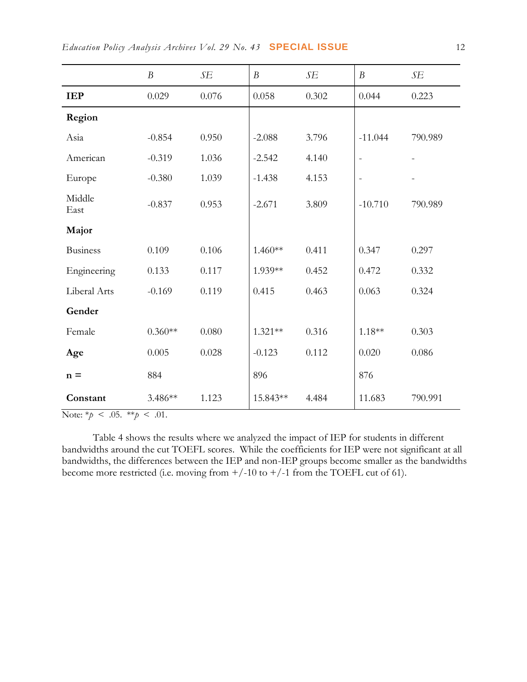|                 | $\boldsymbol{B}$ | SE    | $\boldsymbol{B}$ | SE    | $\boldsymbol{B}$         | SE      |
|-----------------|------------------|-------|------------------|-------|--------------------------|---------|
| <b>IEP</b>      | 0.029            | 0.076 | 0.058            | 0.302 | 0.044                    | 0.223   |
| Region          |                  |       |                  |       |                          |         |
| Asia            | $-0.854$         | 0.950 | $-2.088$         | 3.796 | $-11.044$                | 790.989 |
| American        | $-0.319$         | 1.036 | $-2.542$         | 4.140 | $\overline{\phantom{a}}$ |         |
| Europe          | $-0.380$         | 1.039 | $-1.438$         | 4.153 | $\blacksquare$           |         |
| Middle<br>East  | $-0.837$         | 0.953 | $-2.671$         | 3.809 | $-10.710$                | 790.989 |
| Major           |                  |       |                  |       |                          |         |
| <b>Business</b> | 0.109            | 0.106 | $1.460**$        | 0.411 | 0.347                    | 0.297   |
| Engineering     | 0.133            | 0.117 | 1.939**          | 0.452 | 0.472                    | 0.332   |
| Liberal Arts    | $-0.169$         | 0.119 | 0.415            | 0.463 | 0.063                    | 0.324   |
| Gender          |                  |       |                  |       |                          |         |
| Female          | $0.360**$        | 0.080 | 1.321**          | 0.316 | $1.18**$                 | 0.303   |
| Age             | 0.005            | 0.028 | $-0.123$         | 0.112 | 0.020                    | 0.086   |
| $n =$           | 884              |       | 896              |       | 876                      |         |
| Constant        | 3.486**          | 1.123 | 15.843**         | 4.484 | 11.683                   | 790.991 |

Note:  $*\!p < .05. **p < .01.$ 

Table 4 shows the results where we analyzed the impact of IEP for students in different bandwidths around the cut TOEFL scores. While the coefficients for IEP were not significant at all bandwidths, the differences between the IEP and non-IEP groups become smaller as the bandwidths become more restricted (i.e. moving from  $+/-10$  to  $+/-1$  from the TOEFL cut of 61).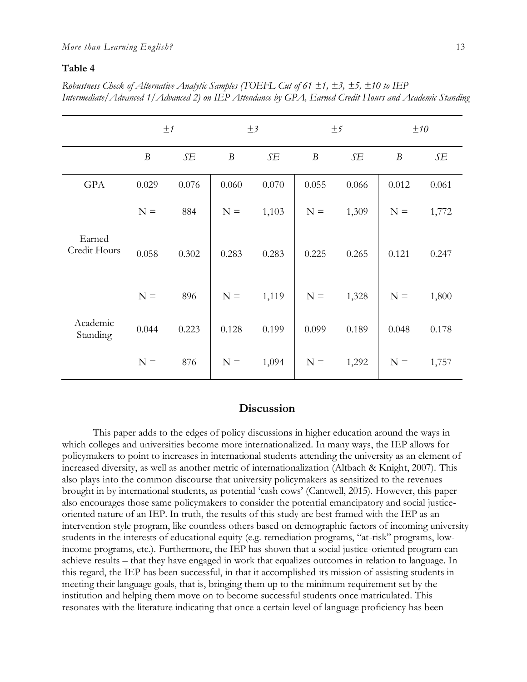#### **Table 4**

*Robustness Check of Alternative Analytic Samples (TOEFL Cut of 61 ±1, ±3, ±5, ±10 to IEP Intermediate/Advanced 1/Advanced 2) on IEP Attendance by GPA, Earned Credit Hours and Academic Standing*

|                        | ±1               |       | $\pm$ 3          |             | ±5               |       | ±10              |       |
|------------------------|------------------|-------|------------------|-------------|------------------|-------|------------------|-------|
|                        | $\boldsymbol{B}$ | SE    | $\boldsymbol{B}$ | $\sqrt{SE}$ | $\boldsymbol{B}$ | SE    | $\boldsymbol{B}$ | SE    |
| GPA                    | 0.029            | 0.076 | 0.060            | 0.070       | 0.055            | 0.066 | 0.012            | 0.061 |
|                        | $N =$            | 884   | $N =$            | 1,103       | $N =$            | 1,309 | $N =$            | 1,772 |
| Earned<br>Credit Hours | 0.058            | 0.302 | 0.283            | 0.283       | 0.225            | 0.265 | 0.121            | 0.247 |
|                        | $N =$            | 896   | $N =$            | 1,119       | $N =$            | 1,328 | $N =$            | 1,800 |
| Academic<br>Standing   | 0.044            | 0.223 | 0.128            | 0.199       | 0.099            | 0.189 | 0.048            | 0.178 |
|                        | $N =$            | 876   | $N =$            | 1,094       | $N =$            | 1,292 | $N =$            | 1,757 |

## **Discussion**

This paper adds to the edges of policy discussions in higher education around the ways in which colleges and universities become more internationalized. In many ways, the IEP allows for policymakers to point to increases in international students attending the university as an element of increased diversity, as well as another metric of internationalization (Altbach & Knight, 2007). This also plays into the common discourse that university policymakers as sensitized to the revenues brought in by international students, as potential 'cash cows' (Cantwell, 2015). However, this paper also encourages those same policymakers to consider the potential emancipatory and social justiceoriented nature of an IEP. In truth, the results of this study are best framed with the IEP as an intervention style program, like countless others based on demographic factors of incoming university students in the interests of educational equity (e.g. remediation programs, "at-risk" programs, lowincome programs, etc.). Furthermore, the IEP has shown that a social justice-oriented program can achieve results – that they have engaged in work that equalizes outcomes in relation to language. In this regard, the IEP has been successful, in that it accomplished its mission of assisting students in meeting their language goals, that is, bringing them up to the minimum requirement set by the institution and helping them move on to become successful students once matriculated. This resonates with the literature indicating that once a certain level of language proficiency has been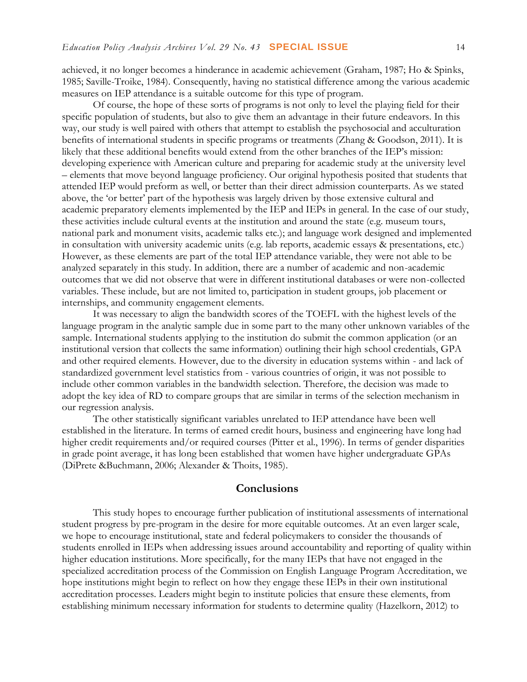achieved, it no longer becomes a hinderance in academic achievement (Graham, 1987; Ho & Spinks, 1985; Saville-Troike, 1984). Consequently, having no statistical difference among the various academic measures on IEP attendance is a suitable outcome for this type of program.

Of course, the hope of these sorts of programs is not only to level the playing field for their specific population of students, but also to give them an advantage in their future endeavors. In this way, our study is well paired with others that attempt to establish the psychosocial and acculturation benefits of international students in specific programs or treatments (Zhang & Goodson, 2011). It is likely that these additional benefits would extend from the other branches of the IEP's mission: developing experience with American culture and preparing for academic study at the university level – elements that move beyond language proficiency. Our original hypothesis posited that students that attended IEP would preform as well, or better than their direct admission counterparts. As we stated above, the 'or better' part of the hypothesis was largely driven by those extensive cultural and academic preparatory elements implemented by the IEP and IEPs in general. In the case of our study, these activities include cultural events at the institution and around the state (e.g. museum tours, national park and monument visits, academic talks etc.); and language work designed and implemented in consultation with university academic units (e.g. lab reports, academic essays & presentations, etc.) However, as these elements are part of the total IEP attendance variable, they were not able to be analyzed separately in this study. In addition, there are a number of academic and non-academic outcomes that we did not observe that were in different institutional databases or were non-collected variables. These include, but are not limited to, participation in student groups, job placement or internships, and community engagement elements.

It was necessary to align the bandwidth scores of the TOEFL with the highest levels of the language program in the analytic sample due in some part to the many other unknown variables of the sample. International students applying to the institution do submit the common application (or an institutional version that collects the same information) outlining their high school credentials, GPA and other required elements. However, due to the diversity in education systems within - and lack of standardized government level statistics from - various countries of origin, it was not possible to include other common variables in the bandwidth selection. Therefore, the decision was made to adopt the key idea of RD to compare groups that are similar in terms of the selection mechanism in our regression analysis.

The other statistically significant variables unrelated to IEP attendance have been well established in the literature. In terms of earned credit hours, business and engineering have long had higher credit requirements and/or required courses (Pitter et al., 1996). In terms of gender disparities in grade point average, it has long been established that women have higher undergraduate GPAs (DiPrete &Buchmann, 2006; Alexander & Thoits, 1985).

#### **Conclusions**

This study hopes to encourage further publication of institutional assessments of international student progress by pre-program in the desire for more equitable outcomes. At an even larger scale, we hope to encourage institutional, state and federal policymakers to consider the thousands of students enrolled in IEPs when addressing issues around accountability and reporting of quality within higher education institutions. More specifically, for the many IEPs that have not engaged in the specialized accreditation process of the Commission on English Language Program Accreditation, we hope institutions might begin to reflect on how they engage these IEPs in their own institutional accreditation processes. Leaders might begin to institute policies that ensure these elements, from establishing minimum necessary information for students to determine quality (Hazelkorn, 2012) to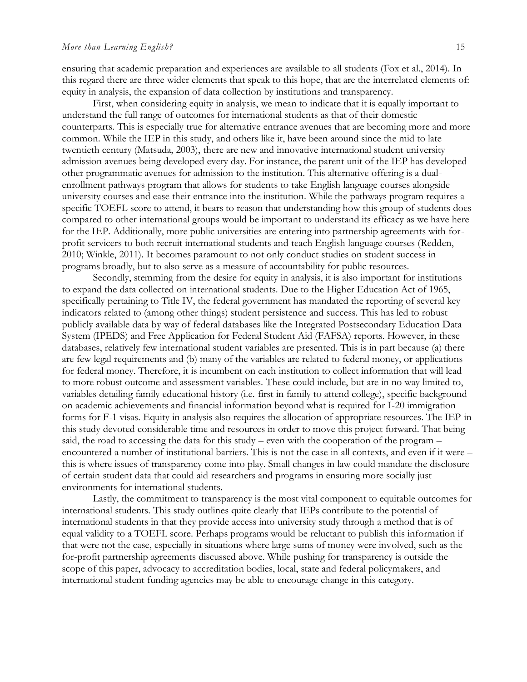ensuring that academic preparation and experiences are available to all students (Fox et al., 2014). In this regard there are three wider elements that speak to this hope, that are the interrelated elements of: equity in analysis, the expansion of data collection by institutions and transparency.

First, when considering equity in analysis, we mean to indicate that it is equally important to understand the full range of outcomes for international students as that of their domestic counterparts. This is especially true for alternative entrance avenues that are becoming more and more common. While the IEP in this study, and others like it, have been around since the mid to late twentieth century (Matsuda, 2003), there are new and innovative international student university admission avenues being developed every day. For instance, the parent unit of the IEP has developed other programmatic avenues for admission to the institution. This alternative offering is a dualenrollment pathways program that allows for students to take English language courses alongside university courses and ease their entrance into the institution. While the pathways program requires a specific TOEFL score to attend, it bears to reason that understanding how this group of students does compared to other international groups would be important to understand its efficacy as we have here for the IEP. Additionally, more public universities are entering into partnership agreements with forprofit servicers to both recruit international students and teach English language courses (Redden, 2010; Winkle, 2011). It becomes paramount to not only conduct studies on student success in programs broadly, but to also serve as a measure of accountability for public resources.

Secondly, stemming from the desire for equity in analysis, it is also important for institutions to expand the data collected on international students. Due to the Higher Education Act of 1965, specifically pertaining to Title IV, the federal government has mandated the reporting of several key indicators related to (among other things) student persistence and success. This has led to robust publicly available data by way of federal databases like the Integrated Postsecondary Education Data System (IPEDS) and Free Application for Federal Student Aid (FAFSA) reports. However, in these databases, relatively few international student variables are presented. This is in part because (a) there are few legal requirements and (b) many of the variables are related to federal money, or applications for federal money. Therefore, it is incumbent on each institution to collect information that will lead to more robust outcome and assessment variables. These could include, but are in no way limited to, variables detailing family educational history (i.e. first in family to attend college), specific background on academic achievements and financial information beyond what is required for I-20 immigration forms for F-1 visas. Equity in analysis also requires the allocation of appropriate resources. The IEP in this study devoted considerable time and resources in order to move this project forward. That being said, the road to accessing the data for this study – even with the cooperation of the program – encountered a number of institutional barriers. This is not the case in all contexts, and even if it were – this is where issues of transparency come into play. Small changes in law could mandate the disclosure of certain student data that could aid researchers and programs in ensuring more socially just environments for international students.

Lastly, the commitment to transparency is the most vital component to equitable outcomes for international students. This study outlines quite clearly that IEPs contribute to the potential of international students in that they provide access into university study through a method that is of equal validity to a TOEFL score. Perhaps programs would be reluctant to publish this information if that were not the case, especially in situations where large sums of money were involved, such as the for-profit partnership agreements discussed above. While pushing for transparency is outside the scope of this paper, advocacy to accreditation bodies, local, state and federal policymakers, and international student funding agencies may be able to encourage change in this category.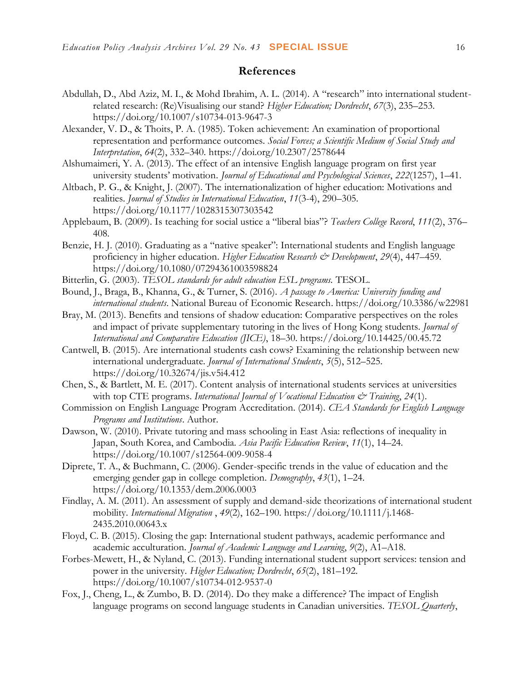## **References**

- Abdullah, D., Abd Aziz, M. I., & Mohd Ibrahim, A. L. (2014). A "research" into international studentrelated research: (Re)Visualising our stand? *Higher Education; Dordrecht*, *67*(3), 235–253. https://doi.org/10.1007/s10734-013-9647-3
- Alexander, V. D., & Thoits, P. A. (1985). Token achievement: An examination of proportional representation and performance outcomes. *Social Forces; a Scientific Medium of Social Study and Interpretation*, *64*(2), 332–340. https://doi.org/10.2307/2578644
- Alshumaimeri, Y. A. (2013). The effect of an intensive English language program on first year university students' motivation. *Journal of Educational and Psychological Sciences*, *222*(1257), 1–41.
- Altbach, P. G., & Knight, J. (2007). The internationalization of higher education: Motivations and realities. *Journal of Studies in International Education*, *11*(3-4), 290–305. https://doi.org/10.1177/1028315307303542
- Applebaum, B. (2009). Is teaching for social ustice a "liberal bias"? *Teachers College Record*, *111*(2), 376– 408.
- Benzie, H. J. (2010). Graduating as a "native speaker": International students and English language proficiency in higher education. *Higher Education Research & Development*, *29*(4), 447–459. https://doi.org/10.1080/07294361003598824
- Bitterlin, G. (2003). *TESOL standards for adult education ESL programs.* TESOL.
- Bound, J., Braga, B., Khanna, G., & Turner, S. (2016). *A passage to America: University funding and international students*. National Bureau of Economic Research. https://doi.org[/10.3386/w22981](http://dx.doi.org/10.3386/w22981)
- Bray, M. (2013). Benefits and tensions of shadow education: Comparative perspectives on the roles and impact of private supplementary tutoring in the lives of Hong Kong students. *Journal of International and Comparative Education (JICE)*, 18–30. https://doi.org/10.14425/00.45.72
- Cantwell, B. (2015). Are international students cash cows? Examining the relationship between new international undergraduate. *Journal of International Students*, *5*(5), 512–525. https://doi.org/10.32674/jis.v5i4.412
- Chen, S., & Bartlett, M. E. (2017). Content analysis of international students services at universities with top CTE programs. *International Journal of Vocational Education & Training*, 24(1).
- Commission on English Language Program Accreditation. (2014). *CEA Standards for English Language Programs and Institutions*. Author.
- Dawson, W. (2010). Private tutoring and mass schooling in East Asia: reflections of inequality in Japan, South Korea, and Cambodia. *Asia Pacific Education Review*, *11*(1), 14–24. https://doi.org/10.1007/s12564-009-9058-4
- Diprete, T. A., & Buchmann, C. (2006). Gender-specific trends in the value of education and the emerging gender gap in college completion. *Demography*, *43*(1), 1–24. https://doi.org/10.1353/dem.2006.0003
- Findlay, A. M. (2011). An assessment of supply and demand-side theorizations of international student mobility. *International Migration* , *49*(2), 162–190. https://doi.org/10.1111/j.1468- 2435.2010.00643.x
- Floyd, C. B. (2015). Closing the gap: International student pathways, academic performance and academic acculturation. *Journal of Academic Language and Learning*, *9*(2), A1–A18.
- Forbes-Mewett, H., & Nyland, C. (2013). Funding international student support services: tension and power in the university. *Higher Education; Dordrecht*, *65*(2), 181–192. https://doi.org/10.1007/s10734-012-9537-0
- Fox, J., Cheng, L., & Zumbo, B. D. (2014). Do they make a difference? The impact of English language programs on second language students in Canadian universities. *TESOL Quarterly*,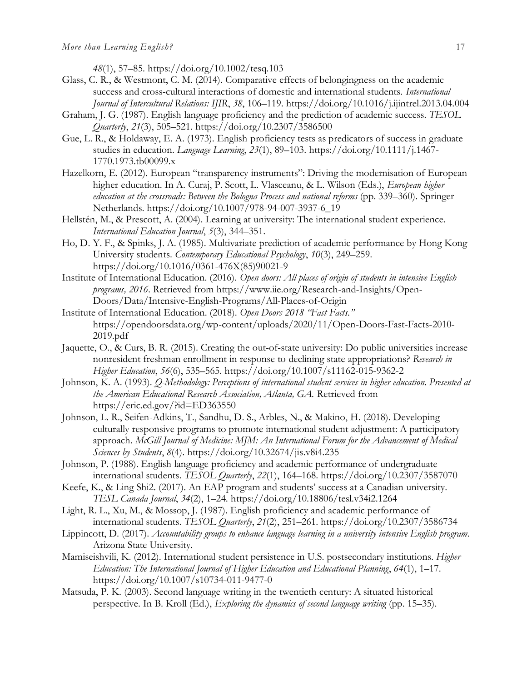*48*(1), 57–85. https://doi.org/10.1002/tesq.103

- Glass, C. R., & Westmont, C. M. (2014). Comparative effects of belongingness on the academic success and cross-cultural interactions of domestic and international students. *International Journal of Intercultural Relations: IJIR*, *38*, 106–119. https://doi.org/10.1016/j.ijintrel.2013.04.004
- Graham, J. G. (1987). English language proficiency and the prediction of academic success. *TESOL Quarterly*, *21*(3), 505–521. https://doi.org/10.2307/3586500
- Gue, L. R., & Holdaway, E. A. (1973). English proficiency tests as predicators of success in graduate studies in education. *Language Learning*, *23*(1), 89–103. https://doi.org/10.1111/j.1467- 1770.1973.tb00099.x
- Hazelkorn, E. (2012). European "transparency instruments": Driving the modernisation of European higher education. In A. Curaj, P. Scott, L. Vlasceanu, & L. Wilson (Eds.), *European higher education at the crossroads: Between the Bologna Process and national reforms* (pp. 339–360). Springer Netherlands. https://doi.org/10.1007/978-94-007-3937-6\_19
- Hellstén, M., & Prescott, A. (2004). Learning at university: The international student experience. *International Education Journal*, *5*(3), 344–351.
- Ho, D. Y. F., & Spinks, J. A. (1985). Multivariate prediction of academic performance by Hong Kong University students. *Contemporary Educational Psychology*, *10*(3), 249–259. https://doi.org/10.1016/0361-476X(85)90021-9
- Institute of International Education. (2016). *Open doors: All places of origin of students in intensive English programs, 2016*. Retrieved from [https://www.iie.org/Research-and-Insights/Open-](https://www.iie.org/Research-and-Insights/Open-Doors/Data/Intensive-English-Programs/All-Places-of-Origin)[Doors/Data/Intensive-English-Programs/All-Places-of-Origin](https://www.iie.org/Research-and-Insights/Open-Doors/Data/Intensive-English-Programs/All-Places-of-Origin)
- Institute of International Education. (2018). *Open Doors 2018 "Fast Facts."* https://opendoorsdata.org/wp-content/uploads/2020/11/Open-Doors-Fast-Facts-2010- 2019.pdf
- Jaquette, O., & Curs, B. R. (2015). Creating the out-of-state university: Do public universities increase nonresident freshman enrollment in response to declining state appropriations? *Research in Higher Education*, *56*(6), 535–565. https://doi.org/10.1007/s11162-015-9362-2
- Johnson, K. A. (1993). *Q-Methodology: Perceptions of international student services in higher education. Presented at the American Educational Research Association, Atlanta, GA.* Retrieved from <https://eric.ed.gov/?id=ED363550>
- Johnson, L. R., Seifen-Adkins, T., Sandhu, D. S., Arbles, N., & Makino, H. (2018). Developing culturally responsive programs to promote international student adjustment: A participatory approach. *McGill Journal of Medicine: MJM: An International Forum for the Advancement of Medical Sciences by Students*, *8*(4). https://doi.org/10.32674/jis.v8i4.235
- Johnson, P. (1988). English language proficiency and academic performance of undergraduate international students. *TESOL Quarterly*, *22*(1), 164–168. https://doi.org/10.2307/3587070
- Keefe, K., & Ling Shi2. (2017). An EAP program and students' success at a Canadian university. *TESL Canada Journal*, *34*(2), 1–24. https://doi.org/10.18806/tesl.v34i2.1264
- Light, R. L., Xu, M., & Mossop, J. (1987). English proficiency and academic performance of international students. *TESOL Quarterly*, *21*(2), 251–261. https://doi.org/10.2307/3586734
- Lippincott, D. (2017). *Accountability groups to enhance language learning in a university intensive English program*. Arizona State University.
- Mamiseishvili, K. (2012). International student persistence in U.S. postsecondary institutions. *Higher Education: The International Journal of Higher Education and Educational Planning*, *64*(1), 1–17. https://doi.org/10.1007/s10734-011-9477-0
- Matsuda, P. K. (2003). Second language writing in the twentieth century: A situated historical perspective. In B. Kroll (Ed.), *Exploring the dynamics of second language writing* (pp. 15–35).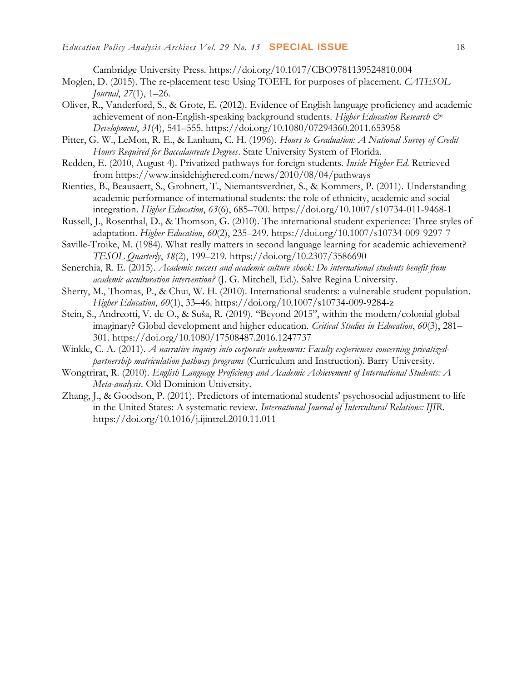Cambridge University Press. https://doi.org/10.1017/CBO9781139524810.004

- Moglen, D. (2015). The re-placement test: Using TOEFL for purposes of placement. *CATESOL Journal*, *27*(1), 1–26.
- Oliver, R., Vanderford, S., & Grote, E. (2012). Evidence of English language proficiency and academic achievement of non-English-speaking background students. *Higher Education Research & Development*, *31*(4), 541–555. https://doi.org/10.1080/07294360.2011.653958
- Pitter, G. W., LeMon, R. E., & Lanham, C. H. (1996). *Hours to Graduation: A National Survey of Credit Hours Required for Baccalaureate Degrees*. State University System of Florida.
- Redden, E. (2010, August 4). Privatized pathways for foreign students. *Inside Higher Ed*. Retrieved from https://www.insidehighered.com/news/2010/08/04/pathways
- Rienties, B., Beausaert, S., Grohnert, T., Niemantsverdriet, S., & Kommers, P. (2011). Understanding academic performance of international students: the role of ethnicity, academic and social integration. *Higher Education*, *63*(6), 685–700. https://doi.org/10.1007/s10734-011-9468-1
- Russell, J., Rosenthal, D., & Thomson, G. (2010). The international student experience: Three styles of adaptation. *Higher Education*, *60*(2), 235–249. https://doi.org/10.1007/s10734-009-9297-7
- Saville-Troike, M. (1984). What really matters in second language learning for academic achievement? *TESOL Quarterly*, *18*(2), 199–219. https://doi.org/10.2307/3586690
- Senerchia, R. E. (2015). *Academic success and academic culture shock: Do international students benefit from academic acculturation intervention?* (J. G. Mitchell, Ed.). Salve Regina University.
- Sherry, M., Thomas, P., & Chui, W. H. (2010). International students: a vulnerable student population. *Higher Education*, *60*(1), 33–46. https://doi.org/10.1007/s10734-009-9284-z
- Stein, S., Andreotti, V. de O., & Suša, R. (2019). "Beyond 2015", within the modern/colonial global imaginary? Global development and higher education. *Critical Studies in Education*, *60*(3), 281– 301. https://doi.org/10.1080/17508487.2016.1247737
- Winkle, C. A. (2011). *A narrative inquiry into corporate unknowns: Faculty experiences concerning privatizedpartnership matriculation pathway programs* (Curriculum and Instruction). Barry University.
- Wongtrirat, R. (2010). *English Language Proficiency and Academic Achievement of International Students: A Meta-analysis*. Old Dominion University.
- Zhang, J., & Goodson, P. (2011). Predictors of international students' psychosocial adjustment to life in the United States: A systematic review. *International Journal of Intercultural Relations: IJIR*. https://doi.org/10.1016/j.ijintrel.2010.11.011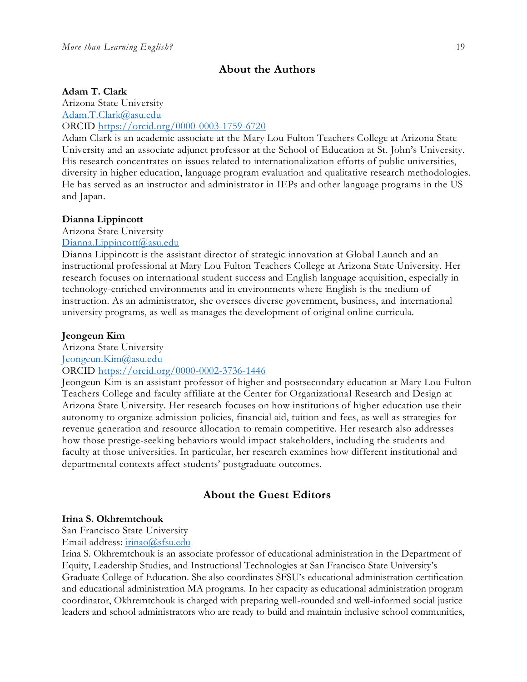## **About the Authors**

#### **Adam T. Clark**

Arizona State University [Adam.T.Clark@asu.edu](mailto:Adam.T.Clark@asu.edu) ORCID<https://orcid.org/0000-0003-1759-6720>

Adam Clark is an academic associate at the Mary Lou Fulton Teachers College at Arizona State University and an associate adjunct professor at the School of Education at St. John's University. His research concentrates on issues related to internationalization efforts of public universities, diversity in higher education, language program evaluation and qualitative research methodologies. He has served as an instructor and administrator in IEPs and other language programs in the US and Japan.

#### **Dianna Lippincott**

Arizona State University

## [Dianna.Lippincott@asu.edu](mailto:Dianna.Lippincott@asu.edu)

Dianna Lippincott is the assistant director of strategic innovation at Global Launch and an instructional professional at Mary Lou Fulton Teachers College at Arizona State University. Her research focuses on international student success and English language acquisition, especially in technology-enriched environments and in environments where English is the medium of instruction. As an administrator, she oversees diverse government, business, and international university programs, as well as manages the development of original online curricula.

#### **Jeongeun Kim**

Arizona State University [Jeongeun.Kim@asu.edu](mailto:Jeongeun.Kim@asu.edu)

#### ORCID<https://orcid.org/0000-0002-3736-1446>

Jeongeun Kim is an assistant professor of higher and postsecondary education at Mary Lou Fulton Teachers College and faculty affiliate at the Center for Organizational Research and Design at Arizona State University. Her research focuses on how institutions of higher education use their autonomy to organize admission policies, financial aid, tuition and fees, as well as strategies for revenue generation and resource allocation to remain competitive. Her research also addresses how those prestige-seeking behaviors would impact stakeholders, including the students and faculty at those universities. In particular, her research examines how different institutional and departmental contexts affect students' postgraduate outcomes.

## **About the Guest Editors**

#### **Irina S. Okhremtchouk**

San Francisco State University

Email address: [irinao@sfsu.edu](mailto:irinao@sfsu.edu)

Irina S. Okhremtchouk is an associate professor of educational administration in the Department of Equity, Leadership Studies, and Instructional Technologies at San Francisco State University's Graduate College of Education. She also coordinates SFSU's educational administration certification and educational administration MA programs. In her capacity as educational administration program coordinator, Okhremtchouk is charged with preparing well-rounded and well-informed social justice leaders and school administrators who are ready to build and maintain inclusive school communities,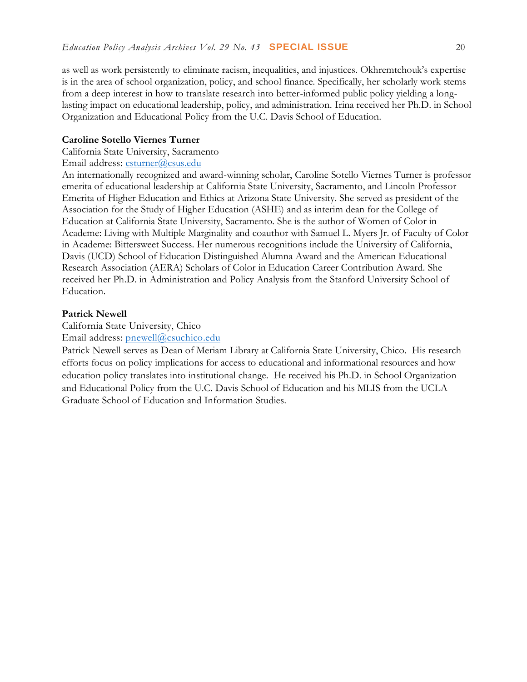as well as work persistently to eliminate racism, inequalities, and injustices. Okhremtchouk's expertise is in the area of school organization, policy, and school finance. Specifically, her scholarly work stems from a deep interest in how to translate research into better-informed public policy yielding a longlasting impact on educational leadership, policy, and administration. Irina received her Ph.D. in School Organization and Educational Policy from the U.C. Davis School of Education.

#### **Caroline Sotello Viernes Turner**

California State University, Sacramento

Email address: [csturner@csus.edu](mailto:csturner@csus.edu)

An internationally recognized and award-winning scholar, Caroline Sotello Viernes Turner is professor emerita of educational leadership at California State University, Sacramento, and Lincoln Professor Emerita of Higher Education and Ethics at Arizona State University. She served as president of the Association for the Study of Higher Education (ASHE) and as interim dean for the College of Education at California State University, Sacramento. She is the author of Women of Color in Academe: Living with Multiple Marginality and coauthor with Samuel L. Myers Jr. of Faculty of Color in Academe: Bittersweet Success. Her numerous recognitions include the University of California, Davis (UCD) School of Education Distinguished Alumna Award and the American Educational Research Association (AERA) Scholars of Color in Education Career Contribution Award. She received her Ph.D. in Administration and Policy Analysis from the Stanford University School of Education.

#### **Patrick Newell**

California State University, Chico

Email address: [pnewell@csuchico.edu](mailto:pnewell@csuchico.edu)

Patrick Newell serves as Dean of Meriam Library at California State University, Chico. His research efforts focus on policy implications for access to educational and informational resources and how education policy translates into institutional change. He received his Ph.D. in School Organization and Educational Policy from the U.C. Davis School of Education and his MLIS from the UCLA Graduate School of Education and Information Studies.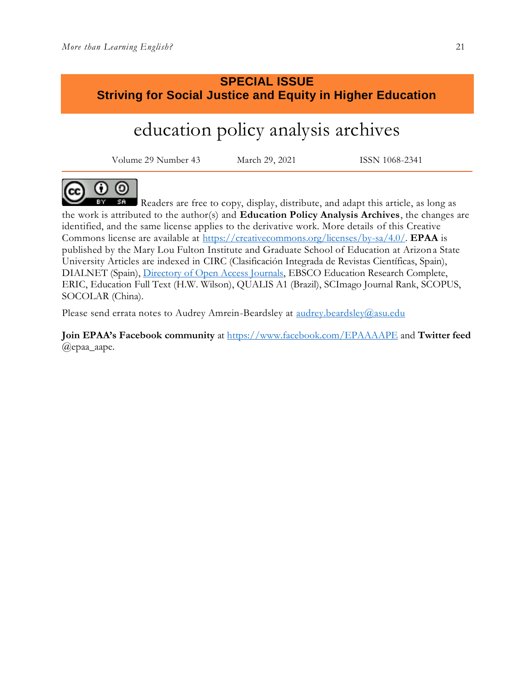## **SPECIAL ISSUE Striving for Social Justice and Equity in Higher Education**

# education policy analysis archives

Volume 29 Number 43 March 29, 2021 ISSN 1068-2341



Readers are free to copy, display, distribute, and adapt this article, as long as the work is attributed to the author(s) and **Education Policy Analysis Archives**, the changes are identified, and the same license applies to the derivative work. More details of this Creative Commons license are available at [https://creativecommons.org/licenses/by-sa/4.0/.](https://creativecommons.org/licenses/by-sa/4.0/) **EPAA** is published by the Mary Lou Fulton Institute and Graduate School of Education at Arizona State University Articles are indexed in CIRC (Clasificación Integrada de Revistas Científicas, Spain), DIALNET (Spain), [Directory of Open Access Journals,](http://www.doaj.org/) EBSCO Education Research Complete, ERIC, Education Full Text (H.W. Wilson), QUALIS A1 (Brazil), SCImago Journal Rank, SCOPUS, SOCOLAR (China).

Please send errata notes to Audrey Amrein-Beardsley at [audrey.beardsley@asu.edu](mailto:audrey.beardsley@asu.edu)

**Join EPAA's Facebook community** at<https://www.facebook.com/EPAAAAPE> and **Twitter feed**  @epaa\_aape.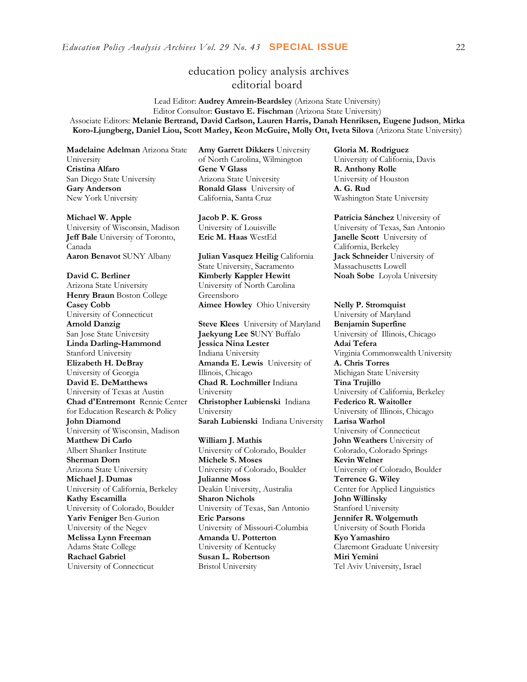## education policy analysis archives editorial board

Lead Editor: **Audrey Amrein-Beardsley** (Arizona State University) Editor Consultor: **Gustavo E. Fischman** (Arizona State University) Associate Editors: **Melanie Bertrand, David Carlson, Lauren Harris, Danah Henriksen, Eugene Judson**, **Mirka Koro-Ljungberg, Daniel Liou, Scott Marley, Keon McGuire, Molly Ott, Iveta Silova** (Arizona State University)

**Madelaine Adelman** Arizona State University **Cristina Alfaro**  San Diego State University **Gary Anderson** New York University

#### **Michael W. Apple**

University of Wisconsin, Madison **Jeff Bale** University of Toronto, Canada **Aaron Benavot** SUNY Albany **Julian Vasquez Heilig** California

**David C. Berliner**  Arizona State University **Henry Braun** Boston College **Casey Cobb** University of Connecticut **Arnold Danzig** San Jose State University **Linda Darling-Hammond**  Stanford University **Elizabeth H. DeBray**  University of Georgia **David E. DeMatthews** University of Texas at Austin **Chad d'Entremont** Rennie Center for Education Research & Policy **John Diamond** University of Wisconsin, Madison **Matthew Di Carlo**  Albert Shanker Institute **Sherman Dorn** Arizona State University **Michael J. Dumas**  University of California, Berkeley **Kathy Escamilla**  University of Colorado, Boulder **Yariv Feniger** Ben-Gurion University of the Negev **Melissa Lynn Freeman**  Adams State College **Rachael Gabriel** University of Connecticut

**Amy Garrett Dikkers** University of North Carolina, Wilmington **Gene V Glass**  Arizona State University **Ronald Glass** University of California, Santa Cruz

**Jacob P. K. Gross**  University of Louisville<br>Eric M. Haas WestEd

State University, Sacramento **Kimberly Kappler Hewitt** University of North Carolina Greensboro

**Steve Klees** University of Maryland **Jaekyung Lee S**UNY Buffalo **Jessica Nina Lester** Indiana University **Amanda E. Lewis** University of Illinois, Chicago **Chad R. Lochmiller** Indiana University **Christopher Lubienski** Indiana University Sarah Lubienski Indiana University

**William J. Mathis**  University of Colorado, Boulder **Michele S. Moses**  University of Colorado, Boulder **Julianne Moss** Deakin University, Australia **Sharon Nichols**  University of Texas, San Antonio **Eric Parsons** University of Missouri-Columbia **Amanda U. Potterton** University of Kentucky **Susan L. Robertson** Bristol University

**Gloria M. Rodriguez** University of California, Davis **R. Anthony Rolle**  University of Houston **A. G. Rud**  Washington State University

**Patricia Sánchez** University of University of Texas, San Antonio **Janelle Scott** University of California, Berkeley **Jack Schneider** University of Massachusetts Lowell **Noah Sobe** Loyola University

#### **Aimee Howley** Ohio University **Nelly P. Stromquist**

University of Maryland **Benjamin Superfine**  University of Illinois, Chicago **Adai Tefera**  Virginia Commonwealth University **A. Chris Torres** Michigan State University **Tina Trujillo**  University of California, Berkeley **Federico R. Waitoller**  University of Illinois, Chicago<br>Larisa Warhol University of Connecticut **John Weathers** University of Colorado, Colorado Springs **Kevin Welner** University of Colorado, Boulder **Terrence G. Wiley**  Center for Applied Linguistics **John Willinsky**  Stanford University **Jennifer R. Wolgemuth**  University of South Florida **Kyo Yamashiro**  Claremont Graduate University **Miri Yemini** Tel Aviv University, Israel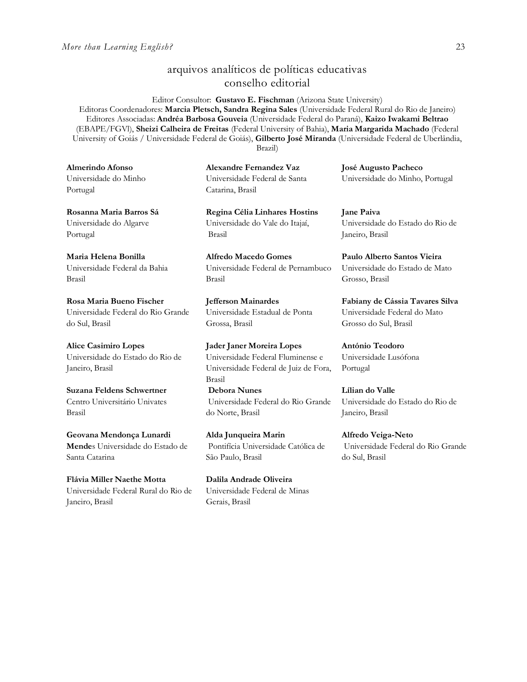## arquivos analíticos de políticas educativas conselho editorial

Editor Consultor: **Gustavo E. Fischman** (Arizona State University)

Editoras Coordenadores: **Marcia Pletsch, Sandra Regina Sales** (Universidade Federal Rural do Rio de Janeiro) Editores Associadas: **Andréa Barbosa Gouveia** (Universidade Federal do Paraná), **Kaizo Iwakami Beltrao** (EBAPE/FGVl), **Sheizi Calheira de Freitas** (Federal University of Bahia), **Maria Margarida Machado** (Federal University of Goiás / Universidade Federal de Goiás), **Gilberto José Miranda** (Universidade Federal de Uberlândia,

Brazil)

**Alexandre Fernandez Vaz**  Universidade Federal de Santa Catarina, Brasil

> **Regina Célia Linhares Hostins** Universidade do Vale do Itajaí, Brasil

**Alfredo Macedo Gomes** Universidade Federal de Pernambuco Brasil

**Jefferson Mainardes** Universidade Estadual de Ponta Grossa, Brasil

**Jader Janer Moreira Lopes**  Universidade Federal Fluminense e Universidade Federal de Juiz de Fora, Brasil

**Debora Nunes** Universidade Federal do Rio Grande do Norte, Brasil

**Alda Junqueira Marin** Pontifícia Universidade Católica de São Paulo, Brasil

**Dalila Andrade Oliveira**  Universidade Federal de Minas Gerais, Brasil

**José Augusto Pacheco** Universidade do Minho, Portugal

**Jane Paiva** Universidade do Estado do Rio de Janeiro, Brasil

**Paulo Alberto Santos Vieira** Universidade do Estado de Mato Grosso, Brasil

**Fabiany de Cássia Tavares Silva** Universidade Federal do Mato Grosso do Sul, Brasil

**António Teodoro**  Universidade Lusófona Portugal

**Lílian do Valle** Universidade do Estado do Rio de Janeiro, Brasil

**Alfredo Veiga-Neto** Universidade Federal do Rio Grande do Sul, Brasil

**Almerindo Afonso** Universidade do Minho Portugal

**Rosanna Maria Barros Sá** Universidade do Algarve Portugal

**Maria Helena Bonilla** Universidade Federal da Bahia Brasil

**Rosa Maria Bueno Fischer**  Universidade Federal do Rio Grande do Sul, Brasil

**Alice Casimiro Lopes** Universidade do Estado do Rio de Janeiro, Brasil

**Suzana Feldens Schwertner** Centro Universitário Univates Brasil

**Geovana Mendonça Lunardi Mende**s Universidade do Estado de Santa Catarina

**Flávia Miller Naethe Motta**  Universidade Federal Rural do Rio de Janeiro, Brasil